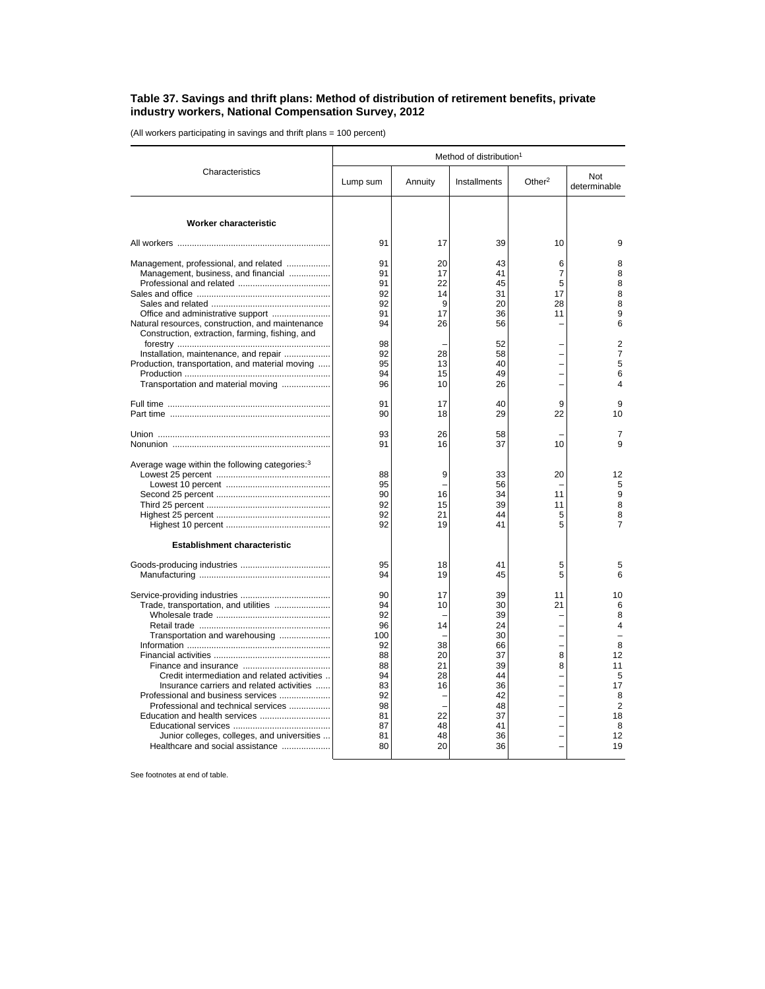## **Table 37. Savings and thrift plans: Method of distribution of retirement benefits, private industry workers, National Compensation Survey, 2012**

(All workers participating in savings and thrift plans = 100 percent)

|                                                                                                                                                                                                                                                                                                                                                                      | Method of distribution <sup>1</sup>                                                           |                                                                                                  |                                                                                              |                                     |                                                                                             |  |
|----------------------------------------------------------------------------------------------------------------------------------------------------------------------------------------------------------------------------------------------------------------------------------------------------------------------------------------------------------------------|-----------------------------------------------------------------------------------------------|--------------------------------------------------------------------------------------------------|----------------------------------------------------------------------------------------------|-------------------------------------|---------------------------------------------------------------------------------------------|--|
| Characteristics                                                                                                                                                                                                                                                                                                                                                      | Lump sum                                                                                      | Annuity                                                                                          | Installments                                                                                 | Other $2$                           | Not<br>determinable                                                                         |  |
| <b>Worker characteristic</b>                                                                                                                                                                                                                                                                                                                                         |                                                                                               |                                                                                                  |                                                                                              |                                     |                                                                                             |  |
|                                                                                                                                                                                                                                                                                                                                                                      | 91                                                                                            | 17                                                                                               | 39                                                                                           | 10                                  | 9                                                                                           |  |
| Management, professional, and related<br>Management, business, and financial<br>Office and administrative support<br>Natural resources, construction, and maintenance<br>Construction, extraction, farming, fishing, and                                                                                                                                             | 91<br>91<br>91<br>92<br>92<br>91<br>94                                                        | 20<br>17<br>22<br>14<br>9<br>17<br>26                                                            | 43<br>41<br>45<br>31<br>20<br>36<br>56                                                       | 6<br>7<br>5<br>17<br>28<br>11       | 8<br>8<br>8<br>8<br>8<br>9<br>6                                                             |  |
| Installation, maintenance, and repair<br>Production, transportation, and material moving<br>Transportation and material moving                                                                                                                                                                                                                                       | 98<br>92<br>95<br>94<br>96                                                                    | 28<br>13<br>15<br>10                                                                             | 52<br>58<br>40<br>49<br>26                                                                   |                                     | 2<br>7<br>5<br>6<br>4                                                                       |  |
|                                                                                                                                                                                                                                                                                                                                                                      | 91<br>90                                                                                      | 17<br>18                                                                                         | 40<br>29                                                                                     | 9<br>22                             | 9<br>10                                                                                     |  |
|                                                                                                                                                                                                                                                                                                                                                                      | 93<br>91                                                                                      | 26<br>16                                                                                         | 58<br>37                                                                                     | 10                                  | 7<br>9                                                                                      |  |
| Average wage within the following categories: <sup>3</sup>                                                                                                                                                                                                                                                                                                           | 88<br>95<br>90<br>92<br>92<br>92                                                              | 9<br>16<br>15<br>21<br>19                                                                        | 33<br>56<br>34<br>39<br>44<br>41                                                             | 20<br>11<br>11<br>5<br>5            | 12<br>5<br>9<br>8<br>8<br>$\overline{7}$                                                    |  |
| <b>Establishment characteristic</b>                                                                                                                                                                                                                                                                                                                                  |                                                                                               |                                                                                                  | 41                                                                                           |                                     |                                                                                             |  |
|                                                                                                                                                                                                                                                                                                                                                                      | 95<br>94                                                                                      | 18<br>19                                                                                         | 45                                                                                           | 5<br>5                              | 5<br>6                                                                                      |  |
| Trade, transportation, and utilities<br>Transportation and warehousing<br>Credit intermediation and related activities<br>Insurance carriers and related activities<br>Professional and business services<br>Professional and technical services<br>Education and health services<br>Junior colleges, colleges, and universities<br>Healthcare and social assistance | 90<br>94<br>92<br>96<br>100<br>92<br>88<br>88<br>94<br>83<br>92<br>98<br>81<br>87<br>81<br>80 | 17<br>10<br>14<br>38<br>20<br>21<br>28<br>16<br>$\overline{\phantom{a}}$<br>22<br>48<br>48<br>20 | 39<br>30<br>39<br>24<br>30<br>66<br>37<br>39<br>44<br>36<br>42<br>48<br>37<br>41<br>36<br>36 | 11<br>21<br>Ē,<br>-<br>8<br>8<br>L, | 10<br>6<br>8<br>4<br>8<br>12<br>11<br>5<br>17<br>8<br>$\overline{2}$<br>18<br>8<br>12<br>19 |  |

See footnotes at end of table.